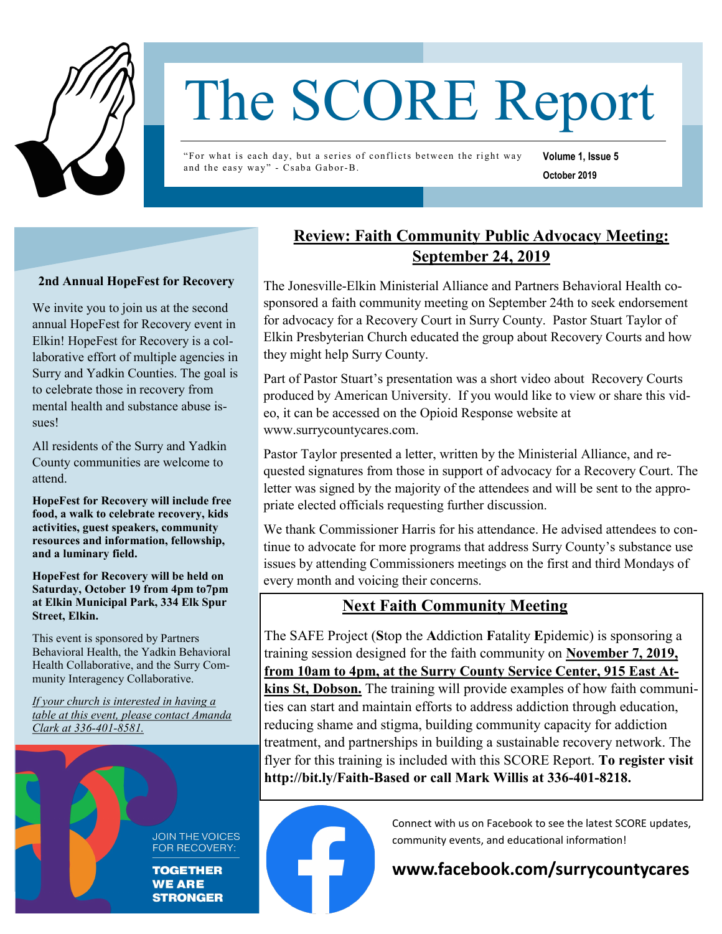

# The SCORE Report

"For what is each day, but a series of conflicts between the right way and the easy way" - Csaba Gabor-B.

**Volume 1, Issue 5 October 2019** 

#### **2nd Annual HopeFest for Recovery**

We invite you to join us at the second annual HopeFest for Recovery event in Elkin! HopeFest for Recovery is a collaborative effort of multiple agencies in Surry and Yadkin Counties. The goal is to celebrate those in recovery from mental health and substance abuse issues!

All residents of the Surry and Yadkin County communities are welcome to attend.

**HopeFest for Recovery will include free food, a walk to celebrate recovery, kids activities, guest speakers, community resources and information, fellowship, and a luminary field.** 

**HopeFest for Recovery will be held on Saturday, October 19 from 4pm to7pm at Elkin Municipal Park, 334 Elk Spur Street, Elkin.**

This event is sponsored by Partners Behavioral Health, the Yadkin Behavioral Health Collaborative, and the Surry Community Interagency Collaborative.

*If your church is interested in having a table at this event, please contact Amanda Clark at 336-401-8581.*



FOR RECOVERY:

### **Review: Faith Community Public Advocacy Meeting: September 24, 2019**

The Jonesville-Elkin Ministerial Alliance and Partners Behavioral Health cosponsored a faith community meeting on September 24th to seek endorsement for advocacy for a Recovery Court in Surry County. Pastor Stuart Taylor of Elkin Presbyterian Church educated the group about Recovery Courts and how they might help Surry County.

Part of Pastor Stuart's presentation was a short video about Recovery Courts produced by American University. If you would like to view or share this video, it can be accessed on the Opioid Response website at www.surrycountycares.com.

Pastor Taylor presented a letter, written by the Ministerial Alliance, and requested signatures from those in support of advocacy for a Recovery Court. The letter was signed by the majority of the attendees and will be sent to the appropriate elected officials requesting further discussion.

We thank Commissioner Harris for his attendance. He advised attendees to continue to advocate for more programs that address Surry County's substance use issues by attending Commissioners meetings on the first and third Mondays of every month and voicing their concerns.

## **Next Faith Community Meeting**

The SAFE Project (**S**top the **A**ddiction **F**atality **E**pidemic) is sponsoring a training session designed for the faith community on **November 7, 2019, from 10am to 4pm, at the Surry County Service Center, 915 East Atkins St, Dobson.** The training will provide examples of how faith communities can start and maintain efforts to address addiction through education, reducing shame and stigma, building community capacity for addiction treatment, and partnerships in building a sustainable recovery network. The flyer for this training is included with this SCORE Report. **To register visit http://bit.ly/Faith-Based or call Mark Willis at 336-401-8218.** 



Connect with us on Facebook to see the latest SCORE updates, community events, and educational information!

## **www.facebook.com/surrycountycares**